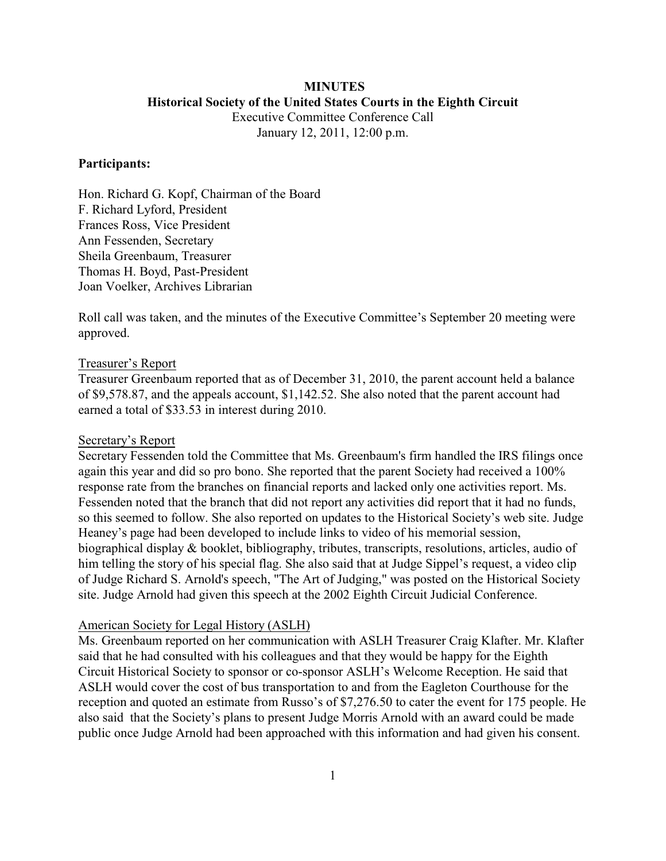## **MINUTES Historical Society of the United States Courts in the Eighth Circuit**

Executive Committee Conference Call January 12, 2011, 12:00 p.m.

## **Participants:**

Hon. Richard G. Kopf, Chairman of the Board F. Richard Lyford, President Frances Ross, Vice President Ann Fessenden, Secretary Sheila Greenbaum, Treasurer Thomas H. Boyd, Past-President Joan Voelker, Archives Librarian

Roll call was taken, and the minutes of the Executive Committee's September 20 meeting were approved.

#### Treasurer's Report

Treasurer Greenbaum reported that as of December 31, 2010, the parent account held a balance of \$9,578.87, and the appeals account, \$1,142.52. She also noted that the parent account had earned a total of \$33.53 in interest during 2010.

#### Secretary's Report

Secretary Fessenden told the Committee that Ms. Greenbaum's firm handled the IRS filings once again this year and did so pro bono. She reported that the parent Society had received a 100% response rate from the branches on financial reports and lacked only one activities report. Ms. Fessenden noted that the branch that did not report any activities did report that it had no funds, so this seemed to follow. She also reported on updates to the Historical Society's web site. Judge Heaney's page had been developed to include links to video of his memorial session, biographical display & booklet, bibliography, tributes, transcripts, resolutions, articles, audio of him telling the story of his special flag. She also said that at Judge Sippel's request, a video clip of Judge Richard S. Arnold's speech, "The Art of Judging," was posted on the Historical Society site. Judge Arnold had given this speech at the 2002 Eighth Circuit Judicial Conference.

#### American Society for Legal History (ASLH)

Ms. Greenbaum reported on her communication with ASLH Treasurer Craig Klafter. Mr. Klafter said that he had consulted with his colleagues and that they would be happy for the Eighth Circuit Historical Society to sponsor or co-sponsor ASLH's Welcome Reception. He said that ASLH would cover the cost of bus transportation to and from the Eagleton Courthouse for the reception and quoted an estimate from Russo's of \$7,276.50 to cater the event for 175 people. He also said that the Society's plans to present Judge Morris Arnold with an award could be made public once Judge Arnold had been approached with this information and had given his consent.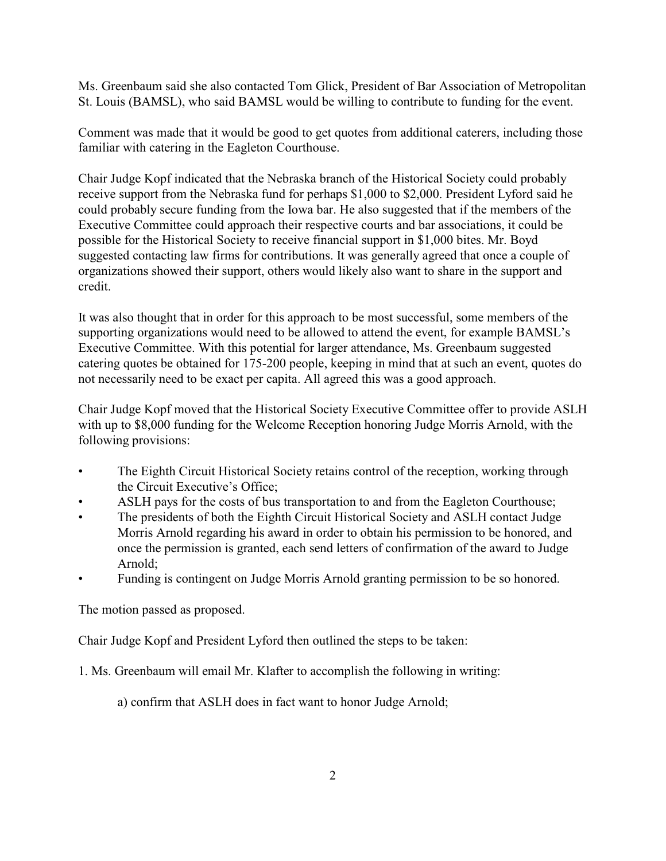Ms. Greenbaum said she also contacted Tom Glick, President of Bar Association of Metropolitan St. Louis (BAMSL), who said BAMSL would be willing to contribute to funding for the event.

Comment was made that it would be good to get quotes from additional caterers, including those familiar with catering in the Eagleton Courthouse.

Chair Judge Kopf indicated that the Nebraska branch of the Historical Society could probably receive support from the Nebraska fund for perhaps \$1,000 to \$2,000. President Lyford said he could probably secure funding from the Iowa bar. He also suggested that if the members of the Executive Committee could approach their respective courts and bar associations, it could be possible for the Historical Society to receive financial support in \$1,000 bites. Mr. Boyd suggested contacting law firms for contributions. It was generally agreed that once a couple of organizations showed their support, others would likely also want to share in the support and credit.

It was also thought that in order for this approach to be most successful, some members of the supporting organizations would need to be allowed to attend the event, for example BAMSL's Executive Committee. With this potential for larger attendance, Ms. Greenbaum suggested catering quotes be obtained for 175-200 people, keeping in mind that at such an event, quotes do not necessarily need to be exact per capita. All agreed this was a good approach.

Chair Judge Kopf moved that the Historical Society Executive Committee offer to provide ASLH with up to \$8,000 funding for the Welcome Reception honoring Judge Morris Arnold, with the following provisions:

- The Eighth Circuit Historical Society retains control of the reception, working through the Circuit Executive's Office;
- ASLH pays for the costs of bus transportation to and from the Eagleton Courthouse;
- The presidents of both the Eighth Circuit Historical Society and ASLH contact Judge Morris Arnold regarding his award in order to obtain his permission to be honored, and once the permission is granted, each send letters of confirmation of the award to Judge Arnold;
- Funding is contingent on Judge Morris Arnold granting permission to be so honored.

The motion passed as proposed.

Chair Judge Kopf and President Lyford then outlined the steps to be taken:

1. Ms. Greenbaum will email Mr. Klafter to accomplish the following in writing:

a) confirm that ASLH does in fact want to honor Judge Arnold;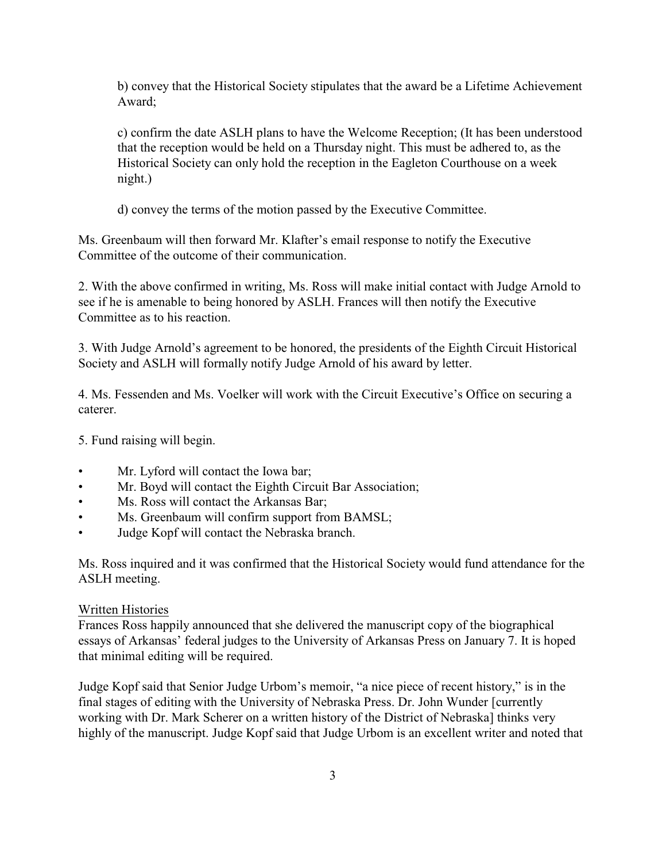b) convey that the Historical Society stipulates that the award be a Lifetime Achievement Award;

c) confirm the date ASLH plans to have the Welcome Reception; (It has been understood that the reception would be held on a Thursday night. This must be adhered to, as the Historical Society can only hold the reception in the Eagleton Courthouse on a week night.)

d) convey the terms of the motion passed by the Executive Committee.

Ms. Greenbaum will then forward Mr. Klafter's email response to notify the Executive Committee of the outcome of their communication.

2. With the above confirmed in writing, Ms. Ross will make initial contact with Judge Arnold to see if he is amenable to being honored by ASLH. Frances will then notify the Executive Committee as to his reaction.

3. With Judge Arnold's agreement to be honored, the presidents of the Eighth Circuit Historical Society and ASLH will formally notify Judge Arnold of his award by letter.

4. Ms. Fessenden and Ms. Voelker will work with the Circuit Executive's Office on securing a caterer.

5. Fund raising will begin.

- Mr. Lyford will contact the Iowa bar;
- Mr. Boyd will contact the Eighth Circuit Bar Association;
- Ms. Ross will contact the Arkansas Bar;
- Ms. Greenbaum will confirm support from BAMSL;
- Judge Kopf will contact the Nebraska branch.

Ms. Ross inquired and it was confirmed that the Historical Society would fund attendance for the ASLH meeting.

## Written Histories

Frances Ross happily announced that she delivered the manuscript copy of the biographical essays of Arkansas' federal judges to the University of Arkansas Press on January 7. It is hoped that minimal editing will be required.

Judge Kopf said that Senior Judge Urbom's memoir, "a nice piece of recent history," is in the final stages of editing with the University of Nebraska Press. Dr. John Wunder [currently working with Dr. Mark Scherer on a written history of the District of Nebraska] thinks very highly of the manuscript. Judge Kopf said that Judge Urbom is an excellent writer and noted that